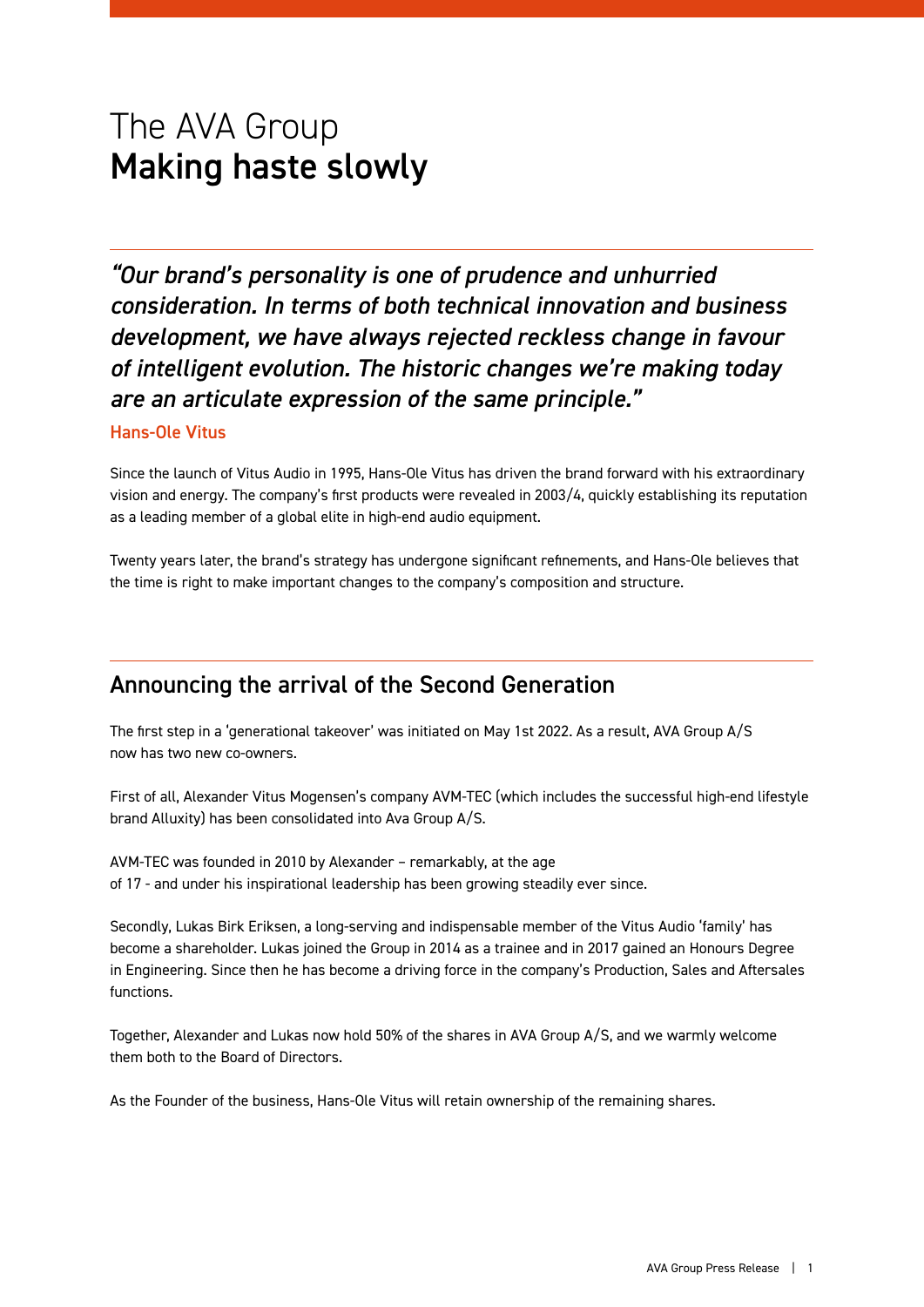# The AVA Group Making haste slowly

*"Our brand's personality is one of prudence and unhurried consideration. In terms of both technical innovation and business development, we have always rejected reckless change in favour of intelligent evolution. The historic changes we're making today are an articulate expression of the same principle."*

#### Hans-Ole Vitus

Since the launch of Vitus Audio in 1995, Hans-Ole Vitus has driven the brand forward with his extraordinary vision and energy. The company's first products were revealed in 2003/4, quickly establishing its reputation as a leading member of a global elite in high-end audio equipment.

Twenty years later, the brand's strategy has undergone significant refinements, and Hans-Ole believes that the time is right to make important changes to the company's composition and structure.

### Announcing the arrival of the Second Generation

The first step in a 'generational takeover' was initiated on May 1st 2022. As a result, AVA Group A/S now has two new co-owners.

First of all, Alexander Vitus Mogensen's company AVM-TEC (which includes the successful high-end lifestyle brand Alluxity) has been consolidated into Ava Group A/S.

AVM-TEC was founded in 2010 by Alexander – remarkably, at the age of 17 - and under his inspirational leadership has been growing steadily ever since.

Secondly, Lukas Birk Eriksen, a long-serving and indispensable member of the Vitus Audio 'family' has become a shareholder. Lukas joined the Group in 2014 as a trainee and in 2017 gained an Honours Degree in Engineering. Since then he has become a driving force in the company's Production, Sales and Aftersales functions.

Together, Alexander and Lukas now hold 50% of the shares in AVA Group A/S, and we warmly welcome them both to the Board of Directors.

As the Founder of the business, Hans-Ole Vitus will retain ownership of the remaining shares.